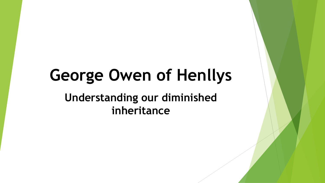# **George Owen of Henllys Understanding our diminished inheritance**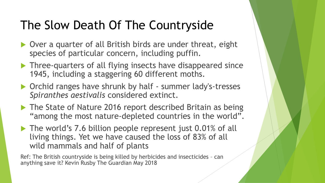## The Slow Death Of The Countryside

- ▶ Over a quarter of all British birds are under threat, eight species of particular concern, including puffin.
- ▶ Three-quarters of all flying insects have disappeared since 1945, including a staggering 60 different moths.
- ▶ Orchid ranges have shrunk by half summer lady's-tresses *Spiranthes aestivalis* considered extinct.
- ▶ The State of Nature 2016 report described Britain as being "among the most nature-depleted countries in the world".
- The world's 7.6 billion people represent just 0.01% of all living things. Yet we have caused the loss of 83% of all wild mammals and half of plants

Ref: The British countryside is being killed by herbicides and insecticides – can anything save it? Kevin Rusby The Guardian May 2018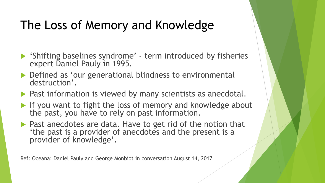## The Loss of Memory and Knowledge

- 'Shifting baselines syndrome' term introduced by fisheries expert Daniel Pauly in 1995.
- ▶ Defined as 'our generational blindness to environmental destruction'.
- **Past information is viewed by many scientists as anecdotal.**
- If you want to fight the loss of memory and knowledge about the past, you have to rely on past information.
- $\blacktriangleright$  Past anecdotes are data. Have to get rid of the notion that 'the past is a provider of anecdotes and the present is a provider of knowledge'.

Ref: Oceana: Daniel Pauly and George Monbiot in conversation August 14, 2017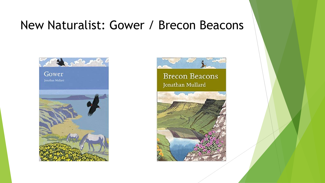#### New Naturalist: Gower / Brecon Beacons



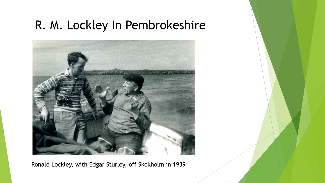## R. M. Lockley In Pembrokeshire



Ronald Lockley, with Edgar Sturley, off Skokholm in 1939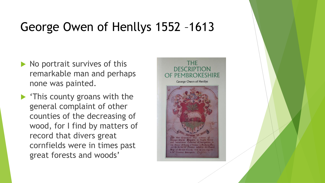#### George Owen of Henllys 1552 –1613

- $\blacktriangleright$  No portrait survives of this remarkable man and perhaps none was painted.
- **This county groans with the** general complaint of other counties of the decreasing of wood, for I find by matters of record that divers great cornfields were in times past great forests and woods'

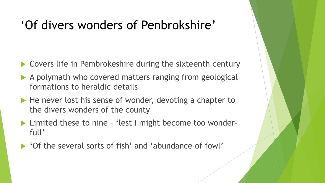## 'Of divers wonders of Penbrokshire'

- ▶ Covers life in Pembrokeshire during the sixteenth century
- A polymath who covered matters ranging from geological formations to heraldic details
- He never lost his sense of wonder, devoting a chapter to the divers wonders of the county
- ▶ Limited these to nine 'lest I might become too wonderfull'
- 'Of the several sorts of fish' and 'abundance of fowl'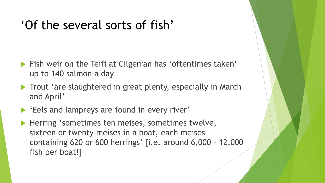#### 'Of the several sorts of fish'

- **Fish weir on the Teifi at Cilgerran has 'oftentimes taken'** up to 140 salmon a day
- Trout 'are slaughtered in great plenty, especially in March and April'
- **Eels and lampreys are found in every river'**
- Herring 'sometimes ten meises, sometimes twelve, sixteen or twenty meises in a boat, each meises containing 620 or 600 herrings' [i.e. around 6,000 – 12,000 fish per boat!]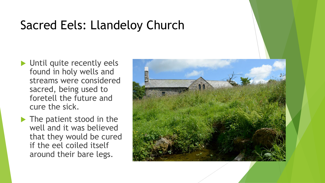## Sacred Eels: Llandeloy Church

- Until quite recently eels found in holy wells and streams were considered sacred, being used to foretell the future and cure the sick.
- The patient stood in the well and it was believed that they would be cured if the eel coiled itself around their bare legs.

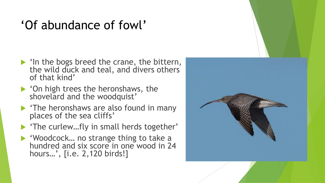# 'Of abundance of fowl'

- $\blacktriangleright$  'In the bogs breed the crane, the bittern, the wild duck and teal, and divers others of that kind'
- 'On high trees the heronshaws, the shovelard and the woodquist'
- $\blacktriangleright$  'The heronshaws are also found in many places of the sea cliffs'
- ▶ 'The curlew...fly in small herds together'
- ▶ 'Woodcock... no strange thing to take a hundred and six score in one wood in 24 hours…', [i.e. 2,120 birds!]

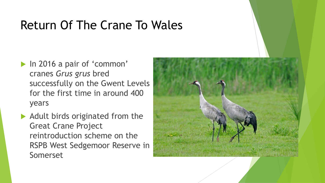## Return Of The Crane To Wales

- In 2016 a pair of 'common' cranes *Grus grus* bred successfully on the Gwent Levels for the first time in around 400 years
- $\blacktriangleright$  Adult birds originated from the Great Crane Project reintroduction scheme on the RSPB West Sedgemoor Reserve in Somerset

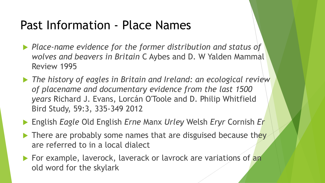#### Past Information - Place Names

- *Place-name evidence for the former distribution and status of wolves and beavers in Britain* C Aybes and D. W Yalden Mammal Review 1995
- *The history of eagles in Britain and Ireland: an ecological review of placename and documentary evidence from the last 1500 years* Richard J. Evans, Lorcán O'Toole and D. Philip Whitfield Bird Study, 59:3, 335-349 2012
- English *Eagle* Old English *Erne* Manx *Urley* Welsh *Eryr* Cornish *Er*
- $\blacktriangleright$  There are probably some names that are disguised because they are referred to in a local dialect
- For example, laverock, laverack or lavrock are variations of an old word for the skylark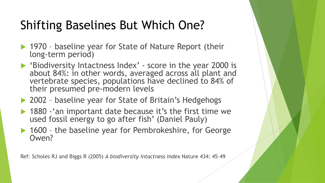## Shifting Baselines But Which One?

- ▶ 1970 baseline year for State of Nature Report (their long-term period)
- 'Biodiversity Intactness Index' score in the year 2000 is about 84%: in other words, averaged across all plant and vertebrate species, populations have declined to 84% of their presumed pre-modern levels
- ▶ 2002 baseline year for State of Britain's Hedgehogs
- ▶ 1880 'an important date because it's the first time we used fossil energy to go after fish' (Daniel Pauly)
- ▶ 1600 the baseline year for Pembrokeshire, for George Owen?

Ref: Scholes RJ and Biggs R (2005) *A biodiversity intactness index* Nature 434: 45–49